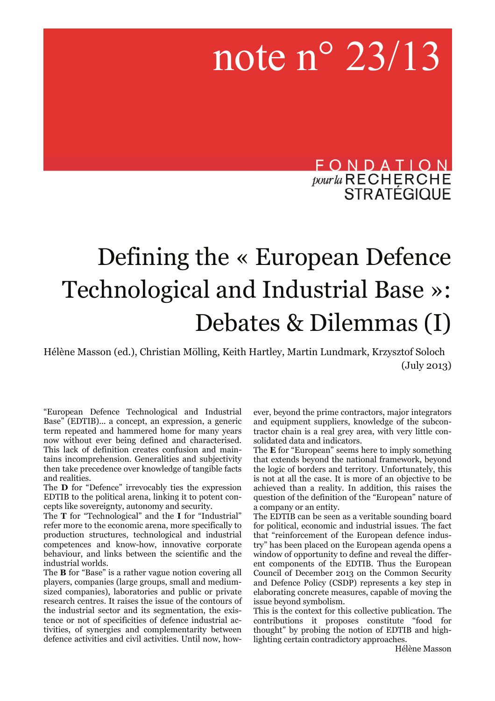# note n° 23/13

FONDATION *pour la* RECHERCHE<br>STRATÉGIQUE

# Defining the « European Defence Technological and Industrial Base »: Debates & Dilemmas (I)

Hélène Masson (ed.), Christian Mölling, Keith Hartley, Martin Lundmark, Krzysztof Soloch (July 2013)

"European Defence Technological and Industrial Base" (EDTIB)... a concept, an expression, a generic term repeated and hammered home for many years now without ever being defined and characterised. This lack of definition creates confusion and maintains incomprehension. Generalities and subjectivity then take precedence over knowledge of tangible facts and realities.

The **D** for "Defence" irrevocably ties the expression EDTIB to the political arena, linking it to potent concepts like sovereignty, autonomy and security.

The **T** for "Technological" and the **I** for "Industrial" refer more to the economic arena, more specifically to production structures, technological and industrial competences and know-how, innovative corporate behaviour, and links between the scientific and the industrial worlds.

The **B** for "Base" is a rather vague notion covering all players, companies (large groups, small and mediumsized companies), laboratories and public or private research centres. It raises the issue of the contours of the industrial sector and its segmentation, the existence or not of specificities of defence industrial activities, of synergies and complementarity between defence activities and civil activities. Until now, however, beyond the prime contractors, major integrators and equipment suppliers, knowledge of the subcontractor chain is a real grey area, with very little consolidated data and indicators.

The **E** for "European" seems here to imply something that extends beyond the national framework, beyond the logic of borders and territory. Unfortunately, this is not at all the case. It is more of an objective to be achieved than a reality. In addition, this raises the question of the definition of the "European" nature of a company or an entity.

The EDTIB can be seen as a veritable sounding board for political, economic and industrial issues. The fact that "reinforcement of the European defence industry" has been placed on the European agenda opens a window of opportunity to define and reveal the different components of the EDTIB. Thus the European Council of December 2013 on the Common Security and Defence Policy (CSDP) represents a key step in elaborating concrete measures, capable of moving the issue beyond symbolism.

This is the context for this collective publication. The contributions it proposes constitute "food for thought" by probing the notion of EDTIB and highlighting certain contradictory approaches.

Hélène Masson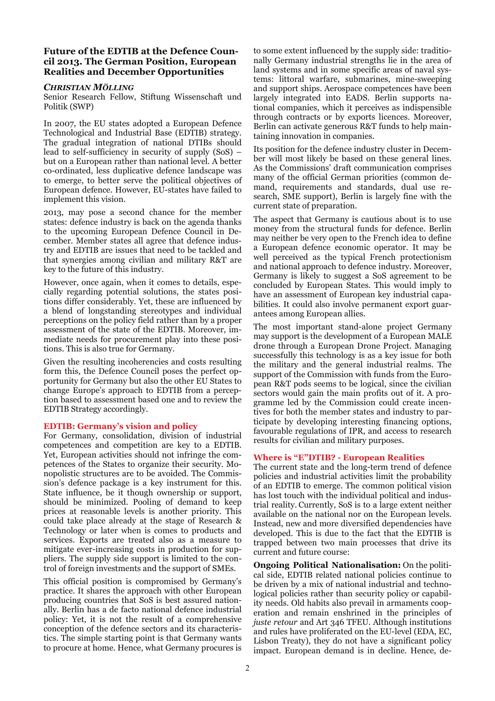# **Future of the EDTIB at the Defence Council 2013. The German Position, European Realities and December Opportunities**

# *CHRISTIAN MÖLLING*

Senior Research Fellow, Stiftung Wissenschaft und Politik (SWP)

In 2007, the EU states adopted a European Defence Technological and Industrial Base (EDTIB) strategy. The gradual integration of national DTIBs should lead to self-sufficiency in security of supply (SoS) – but on a European rather than national level. A better co-ordinated, less duplicative defence landscape was to emerge, to better serve the political objectives of European defence. However, EU-states have failed to implement this vision.

2013, may pose a second chance for the member states: defence industry is back on the agenda thanks to the upcoming European Defence Council in December. Member states all agree that defence industry and EDTIB are issues that need to be tackled and that synergies among civilian and military R&T are key to the future of this industry.

However, once again, when it comes to details, especially regarding potential solutions, the states positions differ considerably. Yet, these are influenced by a blend of longstanding stereotypes and individual perceptions on the policy field rather than by a proper assessment of the state of the EDTIB. Moreover, immediate needs for procurement play into these positions. This is also true for Germany.

Given the resulting incoherencies and costs resulting form this, the Defence Council poses the perfect opportunity for Germany but also the other EU States to change Europe's approach to EDTIB from a perception based to assessment based one and to review the EDTIB Strategy accordingly.

#### **EDTIB: Germany's vision and policy**

For Germany, consolidation, division of industrial competences and competition are key to a EDTIB. Yet, European activities should not infringe the competences of the States to organize their security. Monopolistic structures are to be avoided. The Commission's defence package is a key instrument for this. State influence, be it though ownership or support, should be minimized. Pooling of demand to keep prices at reasonable levels is another priority. This could take place already at the stage of Research & Technology or later when is comes to products and services. Exports are treated also as a measure to mitigate ever-increasing costs in production for suppliers. The supply side support is limited to the control of foreign investments and the support of SMEs.

This official position is compromised by Germany's practice. It shares the approach with other European producing countries that SoS is best assured nationally. Berlin has a de facto national defence industrial policy: Yet, it is not the result of a comprehensive conception of the defence sectors and its characteristics. The simple starting point is that Germany wants to procure at home. Hence, what Germany procures is to some extent influenced by the supply side: traditionally Germany industrial strengths lie in the area of land systems and in some specific areas of naval systems: littoral warfare, submarines, mine-sweeping and support ships. Aerospace competences have been largely integrated into EADS. Berlin supports national companies, which it perceives as indispensible through contracts or by exports licences. Moreover, Berlin can activate generous R&T funds to help maintaining innovation in companies.

Its position for the defence industry cluster in December will most likely be based on these general lines. As the Commissions' draft communication comprises many of the official German priorities (common demand, requirements and standards, dual use research, SME support), Berlin is largely fine with the current state of preparation.

The aspect that Germany is cautious about is to use money from the structural funds for defence. Berlin may neither be very open to the French idea to define a European defence economic operator. It may be well perceived as the typical French protectionism and national approach to defence industry. Moreover, Germany is likely to suggest a SoS agreement to be concluded by European States. This would imply to have an assessment of European key industrial capabilities. It could also involve permanent export guarantees among European allies.

The most important stand-alone project Germany may support is the development of a European MALE drone through a European Drone Project. Managing successfully this technology is as a key issue for both the military and the general industrial realms. The support of the Commission with funds from the European R&T pods seems to be logical, since the civilian sectors would gain the main profits out of it. A programme led by the Commission could create incentives for both the member states and industry to participate by developing interesting financing options, favourable regulations of IPR, and access to research results for civilian and military purposes.

#### **Where is "E"DTIB? - European Realities**

The current state and the long-term trend of defence policies and industrial activities limit the probability of an EDTIB to emerge. The common political vision has lost touch with the individual political and industrial reality. Currently, SoS is to a large extent neither available on the national nor on the European levels. Instead, new and more diversified dependencies have developed. This is due to the fact that the EDTIB is trapped between two main processes that drive its current and future course:

**Ongoing Political Nationalisation:** On the political side, EDTIB related national policies continue to be driven by a mix of national industrial and technological policies rather than security policy or capability needs. Old habits also prevail in armaments cooperation and remain enshrined in the principles of *juste retour* and Art 346 TFEU. Although institutions and rules have proliferated on the EU-level (EDA, EC, Lisbon Treaty), they do not have a significant policy impact. European demand is in decline. Hence, de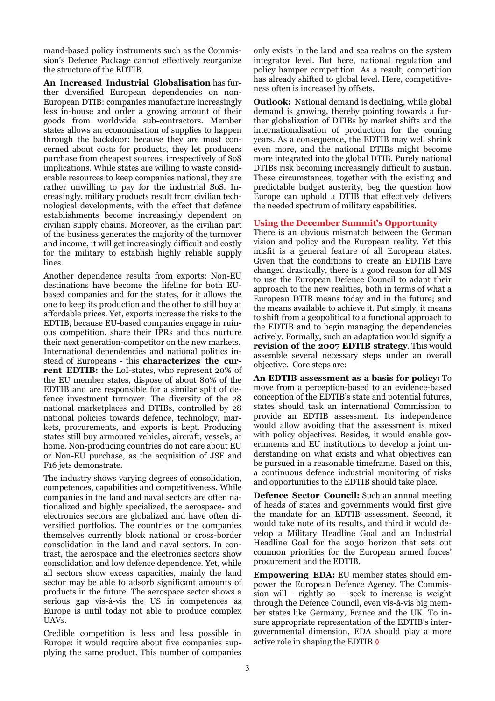mand-based policy instruments such as the Commission's Defence Package cannot effectively reorganize the structure of the EDTIB.

**An Increased Industrial Globalisation** has further diversified European dependencies on non-European DTIB: companies manufacture increasingly less in-house and order a growing amount of their goods from worldwide sub-contractors. Member states allows an economisation of supplies to happen through the backdoor: because they are most concerned about costs for products, they let producers purchase from cheapest sources, irrespectively of SoS implications. While states are willing to waste considerable resources to keep companies national, they are rather unwilling to pay for the industrial SoS. Increasingly, military products result from civilian technological developments, with the effect that defence establishments become increasingly dependent on civilian supply chains. Moreover, as the civilian part of the business generates the majority of the turnover and income, it will get increasingly difficult and costly for the military to establish highly reliable supply lines.

Another dependence results from exports: Non-EU destinations have become the lifeline for both EUbased companies and for the states, for it allows the one to keep its production and the other to still buy at affordable prices. Yet, exports increase the risks to the EDTIB, because EU-based companies engage in ruinous competition, share their IPRs and thus nurture their next generation-competitor on the new markets. International dependencies and national politics instead of Europeans - this **characterizes the current EDTIB:** the LoI-states, who represent 20% of the EU member states, dispose of about 80% of the EDTIB and are responsible for a similar split of defence investment turnover. The diversity of the 28 national marketplaces and DTIBs, controlled by 28 national policies towards defence, technology, markets, procurements, and exports is kept. Producing states still buy armoured vehicles, aircraft, vessels, at home. Non-producing countries do not care about EU or Non-EU purchase, as the acquisition of JSF and F16 jets demonstrate.

The industry shows varying degrees of consolidation, competences, capabilities and competitiveness. While companies in the land and naval sectors are often nationalized and highly specialized, the aerospace- and electronics sectors are globalized and have often diversified portfolios. The countries or the companies themselves currently block national or cross-border consolidation in the land and naval sectors. In contrast, the aerospace and the electronics sectors show consolidation and low defence dependence. Yet, while all sectors show excess capacities, mainly the land sector may be able to adsorb significant amounts of products in the future. The aerospace sector shows a serious gap vis-à-vis the US in competences as Europe is until today not able to produce complex UAVs.

Credible competition is less and less possible in Europe: it would require about five companies supplying the same product. This number of companies

only exists in the land and sea realms on the system integrator level. But here, national regulation and policy hamper competition. As a result, competition has already shifted to global level. Here, competitiveness often is increased by offsets.

**Outlook:** National demand is declining, while global demand is growing, thereby pointing towards a further globalization of DTIBs by market shifts and the internationalisation of production for the coming years. As a consequence, the EDTIB may well shrink even more, and the national DTIBs might become more integrated into the global DTIB. Purely national DTIBs risk becoming increasingly difficult to sustain. These circumstances, together with the existing and predictable budget austerity, beg the question how Europe can uphold a DTIB that effectively delivers the needed spectrum of military capabilities.

#### **Using the December Summit's Opportunity**

There is an obvious mismatch between the German vision and policy and the European reality. Yet this misfit is a general feature of all European states. Given that the conditions to create an EDTIB have changed drastically, there is a good reason for all MS to use the European Defence Council to adapt their approach to the new realities, both in terms of what a European DTIB means today and in the future; and the means available to achieve it. Put simply, it means to shift from a geopolitical to a functional approach to the EDTIB and to begin managing the dependencies actively. Formally, such an adaptation would signify a **revision of the 2007 EDTIB strategy**. This would assemble several necessary steps under an overall objective. Core steps are:

**An EDTIB assessment as a basis for policy:** To move from a perception-based to an evidence-based conception of the EDTIB's state and potential futures, states should task an international Commission to provide an EDTIB assessment. Its independence would allow avoiding that the assessment is mixed with policy objectives. Besides, it would enable governments and EU institutions to develop a joint understanding on what exists and what objectives can be pursued in a reasonable timeframe. Based on this, a continuous defence industrial monitoring of risks and opportunities to the EDTIB should take place.

**Defence Sector Council:** Such an annual meeting of heads of states and governments would first give the mandate for an EDTIB assessment. Second, it would take note of its results, and third it would develop a Military Headline Goal and an Industrial Headline Goal for the 2030 horizon that sets out common priorities for the European armed forces' procurement and the EDTIB.

**Empowering EDA:** EU member states should empower the European Defence Agency. The Commission will - rightly so – seek to increase is weight through the Defence Council, even vis-à-vis big member states like Germany, France and the UK. To insure appropriate representation of the EDTIB's intergovernmental dimension, EDA should play a more active role in shaping the EDTIB.◊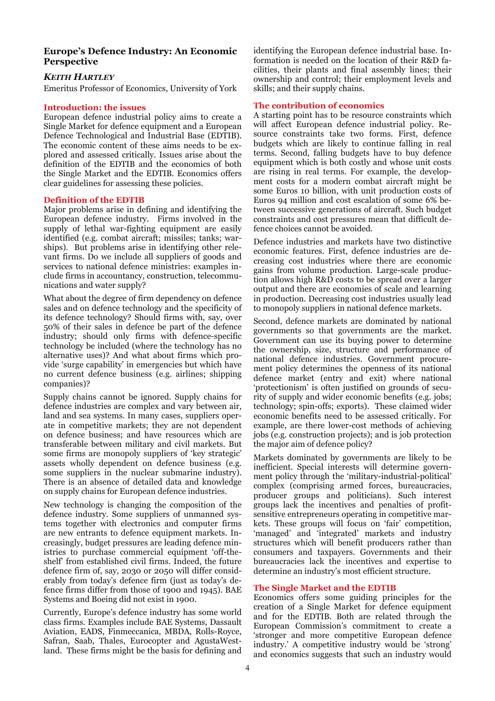# **Europe's Defence Industry: An Economic Perspective**

# *KEITH HARTLEY*

Emeritus Professor of Economics, University of York

# **Introduction: the issues**

European defence industrial policy aims to create a Single Market for defence equipment and a European Defence Technological and Industrial Base (EDTIB). The economic content of these aims needs to be explored and assessed critically. Issues arise about the definition of the EDTIB and the economics of both the Single Market and the EDTIB. Economics offers clear guidelines for assessing these policies.

#### **Definition of the EDTIB**

Major problems arise in defining and identifying the European defence industry. Firms involved in the supply of lethal war-fighting equipment are easily identified (e.g. combat aircraft; missiles; tanks; warships). But problems arise in identifying other relevant firms. Do we include all suppliers of goods and services to national defence ministries: examples include firms in accountancy, construction, telecommunications and water supply?

What about the degree of firm dependency on defence sales and on defence technology and the specificity of its defence technology? Should firms with, say, over 50% of their sales in defence be part of the defence industry; should only firms with defence-specific technology be included (where the technology has no alternative uses)? And what about firms which provide 'surge capability' in emergencies but which have no current defence business (e.g. airlines; shipping companies)?

Supply chains cannot be ignored. Supply chains for defence industries are complex and vary between air, land and sea systems. In many cases, suppliers operate in competitive markets; they are not dependent on defence business; and have resources which are transferable between military and civil markets. But some firms are monopoly suppliers of 'key strategic' assets wholly dependent on defence business (e.g. some suppliers in the nuclear submarine industry). There is an absence of detailed data and knowledge on supply chains for European defence industries.

New technology is changing the composition of the defence industry. Some suppliers of unmanned systems together with electronics and computer firms are new entrants to defence equipment markets. Increasingly, budget pressures are leading defence ministries to purchase commercial equipment 'off-theshelf' from established civil firms. Indeed, the future defence firm of, say, 2030 or 2050 will differ considerably from today's defence firm (just as today's defence firms differ from those of 1900 and 1945). BAE Systems and Boeing did not exist in 1900.

Currently, Europe's defence industry has some world class firms. Examples include BAE Systems, Dassault Aviation, EADS, Finmeccanica, MBDA, Rolls-Royce, Safran, Saab, Thales, Eurocopter and AgustaWestland. These firms might be the basis for defining and identifying the European defence industrial base. Information is needed on the location of their R&D facilities, their plants and final assembly lines; their ownership and control; their employment levels and skills; and their supply chains.

# **The contribution of economics**

A starting point has to be resource constraints which will affect European defence industrial policy. Resource constraints take two forms. First, defence budgets which are likely to continue falling in real terms. Second, falling budgets have to buy defence equipment which is both costly and whose unit costs are rising in real terms. For example, the development costs for a modern combat aircraft might be some Euros 10 billion, with unit production costs of Euros 94 million and cost escalation of some 6% between successive generations of aircraft. Such budget constraints and cost pressures mean that difficult defence choices cannot be avoided.

Defence industries and markets have two distinctive economic features. First, defence industries are decreasing cost industries where there are economic gains from volume production. Large-scale production allows high R&D costs to be spread over a larger output and there are economies of scale and learning in production. Decreasing cost industries usually lead to monopoly suppliers in national defence markets.

Second, defence markets are dominated by national governments so that governments are the market. Government can use its buying power to determine the ownership, size, structure and performance of national defence industries. Government procurement policy determines the openness of its national defence market (entry and exit) where national 'protectionism' is often justified on grounds of security of supply and wider economic benefits (e.g. jobs; technology; spin-offs; exports). These claimed wider economic benefits need to be assessed critically. For example, are there lower-cost methods of achieving jobs (e.g. construction projects); and is job protection the major aim of defence policy?

Markets dominated by governments are likely to be inefficient. Special interests will determine government policy through the 'military-industrial-political' complex (comprising armed forces, bureaucracies, producer groups and politicians). Such interest groups lack the incentives and penalties of profitsensitive entrepreneurs operating in competitive markets. These groups will focus on 'fair' competition, 'managed' and 'integrated' markets and industry structures which will benefit producers rather than consumers and taxpayers. Governments and their bureaucracies lack the incentives and expertise to determine an industry's most efficient structure.

# **The Single Market and the EDTIB**

Economics offers some guiding principles for the creation of a Single Market for defence equipment and for the EDTIB. Both are related through the European Commission's commitment to create a 'stronger and more competitive European defence industry.' A competitive industry would be 'strong' and economics suggests that such an industry would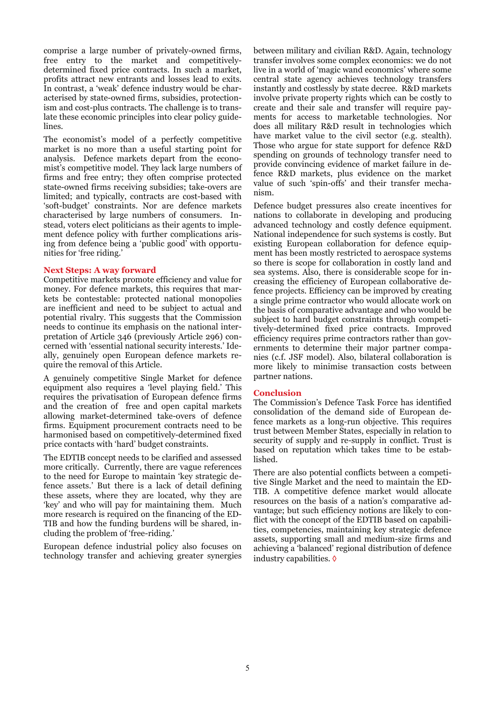comprise a large number of privately-owned firms, free entry to the market and competitivelydetermined fixed price contracts. In such a market, profits attract new entrants and losses lead to exits. In contrast, a 'weak' defence industry would be characterised by state-owned firms, subsidies, protectionism and cost-plus contracts. The challenge is to translate these economic principles into clear policy guidelines.

The economist's model of a perfectly competitive market is no more than a useful starting point for analysis. Defence markets depart from the economist's competitive model. They lack large numbers of firms and free entry; they often comprise protected state-owned firms receiving subsidies; take-overs are limited; and typically, contracts are cost-based with 'soft-budget' constraints. Nor are defence markets characterised by large numbers of consumers. Instead, voters elect politicians as their agents to implement defence policy with further complications arising from defence being a 'public good' with opportunities for 'free riding.'

#### **Next Steps: A way forward**

Competitive markets promote efficiency and value for money. For defence markets, this requires that markets be contestable: protected national monopolies are inefficient and need to be subject to actual and potential rivalry. This suggests that the Commission needs to continue its emphasis on the national interpretation of Article 346 (previously Article 296) concerned with 'essential national security interests.' Ideally, genuinely open European defence markets require the removal of this Article.

A genuinely competitive Single Market for defence equipment also requires a 'level playing field.' This requires the privatisation of European defence firms and the creation of free and open capital markets allowing market-determined take-overs of defence firms. Equipment procurement contracts need to be harmonised based on competitively-determined fixed price contacts with 'hard' budget constraints.

The EDTIB concept needs to be clarified and assessed more critically. Currently, there are vague references to the need for Europe to maintain 'key strategic defence assets.' But there is a lack of detail defining these assets, where they are located, why they are 'key' and who will pay for maintaining them. Much more research is required on the financing of the ED-TIB and how the funding burdens will be shared, including the problem of 'free-riding.'

European defence industrial policy also focuses on technology transfer and achieving greater synergies between military and civilian R&D. Again, technology transfer involves some complex economics: we do not live in a world of 'magic wand economics' where some central state agency achieves technology transfers instantly and costlessly by state decree. R&D markets involve private property rights which can be costly to create and their sale and transfer will require payments for access to marketable technologies. Nor does all military R&D result in technologies which have market value to the civil sector (e.g. stealth). Those who argue for state support for defence R&D spending on grounds of technology transfer need to provide convincing evidence of market failure in defence R&D markets, plus evidence on the market value of such 'spin-offs' and their transfer mechanism.

Defence budget pressures also create incentives for nations to collaborate in developing and producing advanced technology and costly defence equipment. National independence for such systems is costly. But existing European collaboration for defence equipment has been mostly restricted to aerospace systems so there is scope for collaboration in costly land and sea systems. Also, there is considerable scope for increasing the efficiency of European collaborative defence projects. Efficiency can be improved by creating a single prime contractor who would allocate work on the basis of comparative advantage and who would be subject to hard budget constraints through competitively-determined fixed price contracts. Improved efficiency requires prime contractors rather than governments to determine their major partner companies (c.f. JSF model). Also, bilateral collaboration is more likely to minimise transaction costs between partner nations.

#### **Conclusion**

The Commission's Defence Task Force has identified consolidation of the demand side of European defence markets as a long-run objective. This requires trust between Member States, especially in relation to security of supply and re-supply in conflict. Trust is based on reputation which takes time to be established.

There are also potential conflicts between a competitive Single Market and the need to maintain the ED-TIB. A competitive defence market would allocate resources on the basis of a nation's comparative advantage; but such efficiency notions are likely to conflict with the concept of the EDTIB based on capabilities, competencies, maintaining key strategic defence assets, supporting small and medium-size firms and achieving a 'balanced' regional distribution of defence industry capabilities. ◊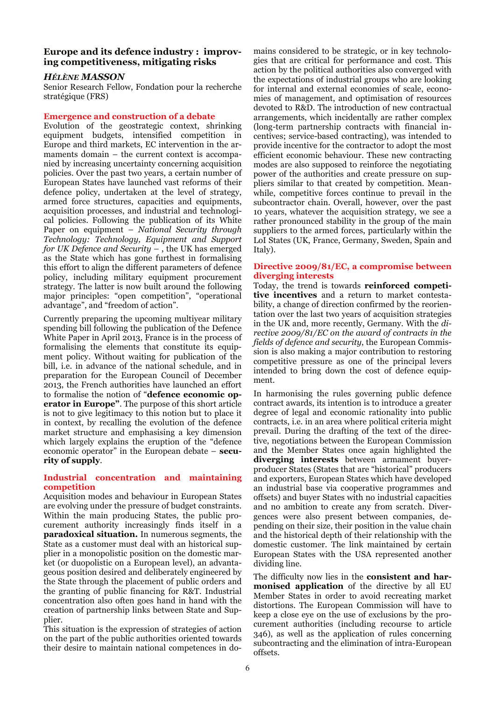# **Europe and its defence industry : improving competitiveness, mitigating risks**

# *HÉLÈNE MASSON*

Senior Research Fellow, Fondation pour la recherche stratégique (FRS)

#### **Emergence and construction of a debate**

Evolution of the geostrategic context, shrinking equipment budgets, intensified competition in Europe and third markets, EC intervention in the armaments domain – the current context is accompanied by increasing uncertainty concerning acquisition policies. Over the past two years, a certain number of European States have launched vast reforms of their defence policy, undertaken at the level of strategy, armed force structures, capacities and equipments, acquisition processes, and industrial and technological policies. Following the publication of its White Paper on equipment – *National Security through Technology: Technology, Equipment and Support for UK Defence and Security –* , the UK has emerged as the State which has gone furthest in formalising this effort to align the different parameters of defence policy, including military equipment procurement strategy. The latter is now built around the following major principles: "open competition", "operational advantage", and "freedom of action".

Currently preparing the upcoming multiyear military spending bill following the publication of the Defence White Paper in April 2013, France is in the process of formalising the elements that constitute its equipment policy. Without waiting for publication of the bill, i.e. in advance of the national schedule, and in preparation for the European Council of December 2013, the French authorities have launched an effort to formalise the notion of "**defence economic operator in Europe"**. The purpose of this short article is not to give legitimacy to this notion but to place it in context, by recalling the evolution of the defence market structure and emphasising a key dimension which largely explains the eruption of the "defence economic operator" in the European debate – **security of supply**.

#### **Industrial concentration and maintaining competition**

Acquisition modes and behaviour in European States are evolving under the pressure of budget constraints. Within the main producing States, the public procurement authority increasingly finds itself in a **paradoxical situation.** In numerous segments, the State as a customer must deal with an historical supplier in a monopolistic position on the domestic market (or duopolistic on a European level), an advantageous position desired and deliberately engineered by the State through the placement of public orders and the granting of public financing for R&T. Industrial concentration also often goes hand in hand with the creation of partnership links between State and Supplier.

This situation is the expression of strategies of action on the part of the public authorities oriented towards their desire to maintain national competences in domains considered to be strategic, or in key technologies that are critical for performance and cost. This action by the political authorities also converged with the expectations of industrial groups who are looking for internal and external economies of scale, economies of management, and optimisation of resources devoted to R&D. The introduction of new contractual arrangements, which incidentally are rather complex (long-term partnership contracts with financial incentives; service-based contracting), was intended to provide incentive for the contractor to adopt the most efficient economic behaviour. These new contracting modes are also supposed to reinforce the negotiating power of the authorities and create pressure on suppliers similar to that created by competition. Meanwhile, competitive forces continue to prevail in the subcontractor chain. Overall, however, over the past 10 years, whatever the acquisition strategy, we see a rather pronounced stability in the group of the main suppliers to the armed forces, particularly within the LoI States (UK, France, Germany, Sweden, Spain and Italy).

#### **Directive 2009/81/EC, a compromise between diverging interests**

Today, the trend is towards **reinforced competitive incentives** and a return to market contestability, a change of direction confirmed by the reorientation over the last two years of acquisition strategies in the UK and, more recently, Germany. With the *directive 2009/81/EC on the award of contracts in the fields of defence and security*, the European Commission is also making a major contribution to restoring competitive pressure as one of the principal levers intended to bring down the cost of defence equipment.

In harmonising the rules governing public defence contract awards, its intention is to introduce a greater degree of legal and economic rationality into public contracts, i.e. in an area where political criteria might prevail. During the drafting of the text of the directive, negotiations between the European Commission and the Member States once again highlighted the **diverging interests** between armament buyerproducer States (States that are "historical" producers and exporters, European States which have developed an industrial base via cooperative programmes and offsets) and buyer States with no industrial capacities and no ambition to create any from scratch. Divergences were also present between companies, depending on their size, their position in the value chain and the historical depth of their relationship with the domestic customer. The link maintained by certain European States with the USA represented another dividing line.

The difficulty now lies in the **consistent and harmonised application** of the directive by all EU Member States in order to avoid recreating market distortions. The European Commission will have to keep a close eye on the use of exclusions by the procurement authorities (including recourse to article 346), as well as the application of rules concerning subcontracting and the elimination of intra-European offsets.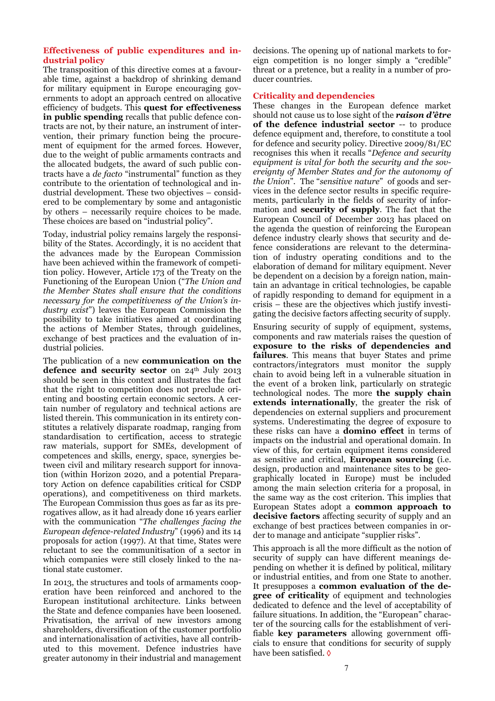# **Effectiveness of public expenditures and industrial policy**

The transposition of this directive comes at a favourable time, against a backdrop of shrinking demand for military equipment in Europe encouraging governments to adopt an approach centred on allocative efficiency of budgets. This **quest for effectiveness in public spending** recalls that public defence contracts are not, by their nature, an instrument of intervention, their primary function being the procurement of equipment for the armed forces. However, due to the weight of public armaments contracts and the allocated budgets, the award of such public contracts have a *de facto* "instrumental" function as they contribute to the orientation of technological and industrial development. These two objectives – considered to be complementary by some and antagonistic by others – necessarily require choices to be made. These choices are based on "industrial policy".

Today, industrial policy remains largely the responsibility of the States. Accordingly, it is no accident that the advances made by the European Commission have been achieved within the framework of competition policy. However, Article 173 of the Treaty on the Functioning of the European Union ("*The Union and the Member States shall ensure that the conditions necessary for the competitiveness of the Union's industry exist*") leaves the European Commission the possibility to take initiatives aimed at coordinating the actions of Member States, through guidelines, exchange of best practices and the evaluation of industrial policies.

The publication of a new **communication on the**  defence and security sector on 24<sup>th</sup> July 2013 should be seen in this context and illustrates the fact that the right to competition does not preclude orienting and boosting certain economic sectors. A certain number of regulatory and technical actions are listed therein. This communication in its entirety constitutes a relatively disparate roadmap, ranging from standardisation to certification, access to strategic raw materials, support for SMEs, development of competences and skills, energy, space, synergies between civil and military research support for innovation (within Horizon 2020, and a potential Preparatory Action on defence capabilities critical for CSDP operations), and competitiveness on third markets. The European Commission thus goes as far as its prerogatives allow, as it had already done 16 years earlier with the communication "*The challenges facing the European defence-related Industry*" (1996) and its 14 proposals for action (1997). At that time, States were reluctant to see the communitisation of a sector in which companies were still closely linked to the national state customer.

In 2013, the structures and tools of armaments cooperation have been reinforced and anchored to the European institutional architecture. Links between the State and defence companies have been loosened. Privatisation, the arrival of new investors among shareholders, diversification of the customer portfolio and internationalisation of activities, have all contributed to this movement. Defence industries have greater autonomy in their industrial and management decisions. The opening up of national markets to foreign competition is no longer simply a "credible" threat or a pretence, but a reality in a number of producer countries.

# **Criticality and dependencies**

These changes in the European defence market should not cause us to lose sight of the *raison d'être* **of the defence industrial sector** -- to produce defence equipment and, therefore, to constitute a tool for defence and security policy. Directive 2009/81/EC recognises this when it recalls "*Defence and security equipment is vital for both the security and the sovereignty of Member States and for the autonomy of the Union*". The "*sensitive nature*" of goods and services in the defence sector results in specific requirements, particularly in the fields of security of information and **security of supply**. The fact that the European Council of December 2013 has placed on the agenda the question of reinforcing the European defence industry clearly shows that security and defence considerations are relevant to the determination of industry operating conditions and to the elaboration of demand for military equipment. Never be dependent on a decision by a foreign nation, maintain an advantage in critical technologies, be capable of rapidly responding to demand for equipment in a crisis – these are the objectives which justify investigating the decisive factors affecting security of supply.

Ensuring security of supply of equipment, systems, components and raw materials raises the question of **exposure to the risks of dependencies and failures**. This means that buyer States and prime contractors/integrators must monitor the supply chain to avoid being left in a vulnerable situation in the event of a broken link, particularly on strategic technological nodes. The more **the supply chain extends internationally**, the greater the risk of dependencies on external suppliers and procurement systems. Underestimating the degree of exposure to these risks can have a **domino effect** in terms of impacts on the industrial and operational domain. In view of this, for certain equipment items considered as sensitive and critical, **European sourcing** (i.e. design, production and maintenance sites to be geographically located in Europe) must be included among the main selection criteria for a proposal, in the same way as the cost criterion. This implies that European States adopt a **common approach to decisive factors** affecting security of supply and an exchange of best practices between companies in order to manage and anticipate "supplier risks".

This approach is all the more difficult as the notion of security of supply can have different meanings depending on whether it is defined by political, military or industrial entities, and from one State to another. It presupposes a **common evaluation of the degree of criticality** of equipment and technologies dedicated to defence and the level of acceptability of failure situations. In addition, the "European" character of the sourcing calls for the establishment of verifiable **key parameters** allowing government officials to ensure that conditions for security of supply have been satisfied. ◊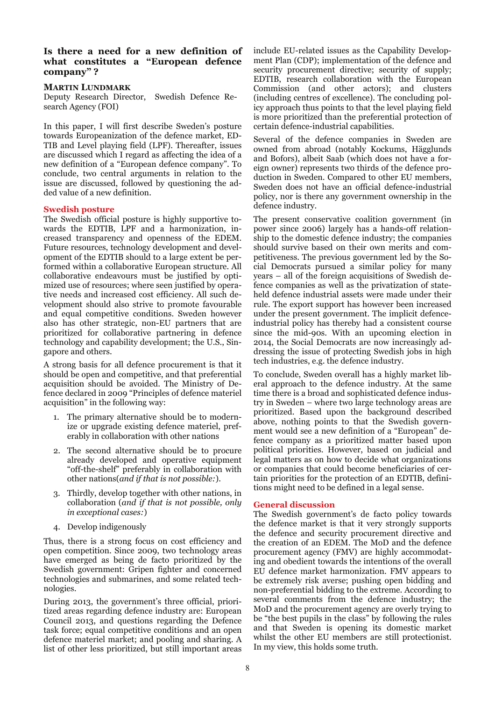# **Is there a need for a new definition of what constitutes a "European defence company" ?**

### **MARTIN LUNDMARK**

Deputy Research Director, Swedish Defence Research Agency (FOI)

In this paper, I will first describe Sweden's posture towards Europeanization of the defence market, ED-TIB and Level playing field (LPF). Thereafter, issues are discussed which I regard as affecting the idea of a new definition of a "European defence company". To conclude, two central arguments in relation to the issue are discussed, followed by questioning the added value of a new definition.

#### **Swedish posture**

The Swedish official posture is highly supportive towards the EDTIB, LPF and a harmonization, increased transparency and openness of the EDEM. Future resources, technology development and development of the EDTIB should to a large extent be performed within a collaborative European structure. All collaborative endeavours must be justified by optimized use of resources; where seen justified by operative needs and increased cost efficiency. All such development should also strive to promote favourable and equal competitive conditions. Sweden however also has other strategic, non-EU partners that are prioritized for collaborative partnering in defence technology and capability development; the U.S., Singapore and others.

A strong basis for all defence procurement is that it should be open and competitive, and that preferential acquisition should be avoided. The Ministry of Defence declared in 2009 "Principles of defence materiel acquisition" in the following way:

- 1. The primary alternative should be to modernize or upgrade existing defence materiel, preferably in collaboration with other nations
- 2. The second alternative should be to procure already developed and operative equipment "off-the-shelf" preferably in collaboration with other nations(*and if that is not possible:*).
- 3. Thirdly, develop together with other nations, in collaboration (*and if that is not possible, only in exceptional cases:*)
- 4. Develop indigenously

Thus, there is a strong focus on cost efficiency and open competition. Since 2009, two technology areas have emerged as being de facto prioritized by the Swedish government: Gripen fighter and concerned technologies and submarines, and some related technologies.

During 2013, the government's three official, prioritized areas regarding defence industry are: European Council 2013, and questions regarding the Defence task force; equal competitive conditions and an open defence materiel market; and pooling and sharing. A list of other less prioritized, but still important areas include EU-related issues as the Capability Development Plan (CDP); implementation of the defence and security procurement directive; security of supply; EDTIB, research collaboration with the European Commission (and other actors); and clusters (including centres of excellence). The concluding policy approach thus points to that the level playing field is more prioritized than the preferential protection of certain defence-industrial capabilities.

Several of the defence companies in Sweden are owned from abroad (notably Kockums, Hägglunds and Bofors), albeit Saab (which does not have a foreign owner) represents two thirds of the defence production in Sweden. Compared to other EU members, Sweden does not have an official defence-industrial policy, nor is there any government ownership in the defence industry.

The present conservative coalition government (in power since 2006) largely has a hands-off relationship to the domestic defence industry; the companies should survive based on their own merits and competitiveness. The previous government led by the Social Democrats pursued a similar policy for many years – all of the foreign acquisitions of Swedish defence companies as well as the privatization of stateheld defence industrial assets were made under their rule. The export support has however been increased under the present government. The implicit defenceindustrial policy has thereby had a consistent course since the mid-90s. With an upcoming election in 2014, the Social Democrats are now increasingly addressing the issue of protecting Swedish jobs in high tech industries, e.g. the defence industry.

To conclude, Sweden overall has a highly market liberal approach to the defence industry. At the same time there is a broad and sophisticated defence industry in Sweden – where two large technology areas are prioritized. Based upon the background described above, nothing points to that the Swedish government would see a new definition of a "European" defence company as a prioritized matter based upon political priorities. However, based on judicial and legal matters as on how to decide what organizations or companies that could become beneficiaries of certain priorities for the protection of an EDTIB, definitions might need to be defined in a legal sense.

# **General discussion**

The Swedish government's de facto policy towards the defence market is that it very strongly supports the defence and security procurement directive and the creation of an EDEM. The MoD and the defence procurement agency (FMV) are highly accommodating and obedient towards the intentions of the overall EU defence market harmonization. FMV appears to be extremely risk averse; pushing open bidding and non-preferential bidding to the extreme. According to several comments from the defence industry; the MoD and the procurement agency are overly trying to be "the best pupils in the class" by following the rules and that Sweden is opening its domestic market whilst the other EU members are still protectionist. In my view, this holds some truth.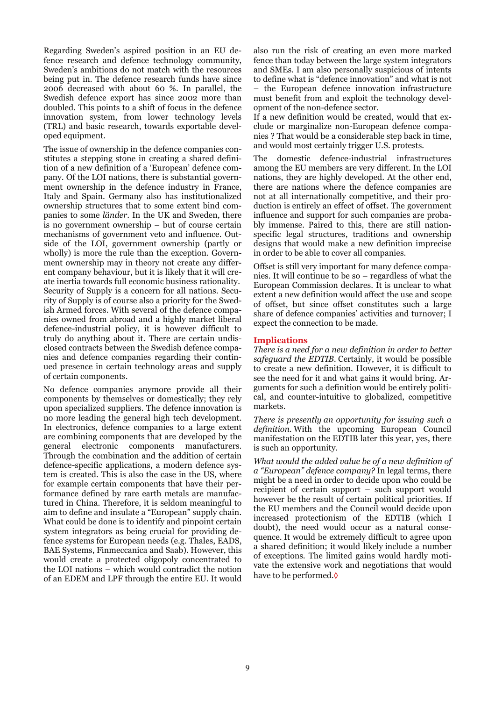Regarding Sweden's aspired position in an EU defence research and defence technology community, Sweden's ambitions do not match with the resources being put in. The defence research funds have since 2006 decreased with about 60 %. In parallel, the Swedish defence export has since 2002 more than doubled. This points to a shift of focus in the defence innovation system, from lower technology levels (TRL) and basic research, towards exportable developed equipment.

The issue of ownership in the defence companies constitutes a stepping stone in creating a shared definition of a new definition of a 'European' defence company. Of the LOI nations, there is substantial government ownership in the defence industry in France, Italy and Spain. Germany also has institutionalized ownership structures that to some extent bind companies to some *länder*. In the UK and Sweden, there is no government ownership – but of course certain mechanisms of government veto and influence. Outside of the LOI, government ownership (partly or wholly) is more the rule than the exception. Government ownership may in theory not create any different company behaviour, but it is likely that it will create inertia towards full economic business rationality. Security of Supply is a concern for all nations. Security of Supply is of course also a priority for the Swedish Armed forces. With several of the defence companies owned from abroad and a highly market liberal defence-industrial policy, it is however difficult to truly do anything about it. There are certain undisclosed contracts between the Swedish defence companies and defence companies regarding their continued presence in certain technology areas and supply of certain components.

No defence companies anymore provide all their components by themselves or domestically; they rely upon specialized suppliers. The defence innovation is no more leading the general high tech development. In electronics, defence companies to a large extent are combining components that are developed by the general electronic components manufacturers. Through the combination and the addition of certain defence-specific applications, a modern defence system is created. This is also the case in the US, where for example certain components that have their performance defined by rare earth metals are manufactured in China. Therefore, it is seldom meaningful to aim to define and insulate a "European" supply chain. What could be done is to identify and pinpoint certain system integrators as being crucial for providing defence systems for European needs (e.g. Thales, EADS, BAE Systems, Finmeccanica and Saab). However, this would create a protected oligopoly concentrated to the LOI nations – which would contradict the notion of an EDEM and LPF through the entire EU. It would also run the risk of creating an even more marked fence than today between the large system integrators and SMEs. I am also personally suspicious of intents to define what is "defence innovation" and what is not – the European defence innovation infrastructure must benefit from and exploit the technology development of the non-defence sector.

If a new definition would be created, would that exclude or marginalize non-European defence companies ? That would be a considerable step back in time, and would most certainly trigger U.S. protests.

The domestic defence-industrial infrastructures among the EU members are very different. In the LOI nations, they are highly developed. At the other end, there are nations where the defence companies are not at all internationally competitive, and their production is entirely an effect of offset. The government influence and support for such companies are probably immense. Paired to this, there are still nationspecific legal structures, traditions and ownership designs that would make a new definition imprecise in order to be able to cover all companies.

Offset is still very important for many defence companies. It will continue to be so – regardless of what the European Commission declares. It is unclear to what extent a new definition would affect the use and scope of offset, but since offset constitutes such a large share of defence companies' activities and turnover; I expect the connection to be made.

#### **Implications**

*There is a need for a new definition in order to better safeguard the EDTIB.* Certainly, it would be possible to create a new definition. However, it is difficult to see the need for it and what gains it would bring. Arguments for such a definition would be entirely political, and counter-intuitive to globalized, competitive markets.

*There is presently an opportunity for issuing such a definition.* With the upcoming European Council manifestation on the EDTIB later this year, yes, there is such an opportunity.

*What would the added value be of a new definition of a "European" defence company?* In legal terms, there might be a need in order to decide upon who could be recipient of certain support – such support would however be the result of certain political priorities. If the EU members and the Council would decide upon increased protectionism of the EDTIB (which I doubt), the need would occur as a natural consequence. It would be extremely difficult to agree upon a shared definition; it would likely include a number of exceptions. The limited gains would hardly motivate the extensive work and negotiations that would have to be performed.◊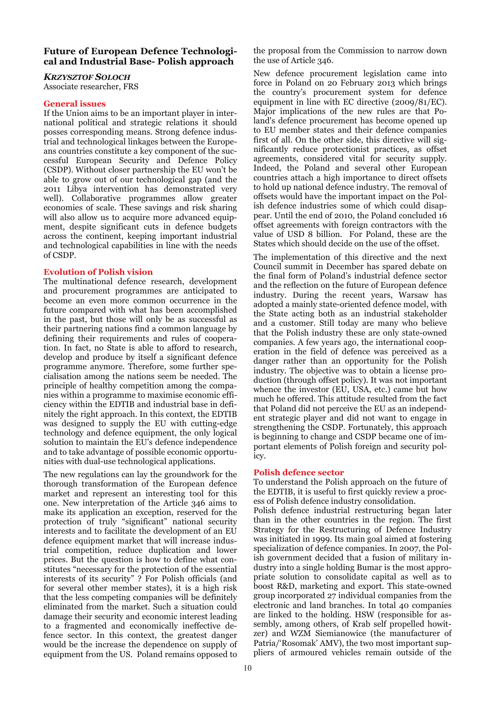# **Future of European Defence Technological and Industrial Base- Polish approach**

*KRZYSZTOF SOLOCH*

Associate researcher, FRS

# **General issues**

If the Union aims to be an important player in international political and strategic relations it should posses corresponding means. Strong defence industrial and technological linkages between the Europeans countries constitute a key component of the successful European Security and Defence Policy (CSDP). Without closer partnership the EU won't be able to grow out of our technological gap (and the 2011 Libya intervention has demonstrated very well). Collaborative programmes allow greater economies of scale. These savings and risk sharing will also allow us to acquire more advanced equipment, despite significant cuts in defence budgets across the continent, keeping important industrial and technological capabilities in line with the needs of CSDP.

# **Evolution of Polish vision**

The multinational defence research, development and procurement programmes are anticipated to become an even more common occurrence in the future compared with what has been accomplished in the past, but those will only be as successful as their partnering nations find a common language by defining their requirements and rules of cooperation. In fact, no State is able to afford to research, develop and produce by itself a significant defence programme anymore. Therefore, some further specialisation among the nations seem be needed. The principle of healthy competition among the companies within a programme to maximise economic efficiency within the EDTIB and industrial base in definitely the right approach. In this context, the EDTIB was designed to supply the EU with cutting-edge technology and defence equipment, the only logical solution to maintain the EU's defence independence and to take advantage of possible economic opportunities with dual-use technological applications.

The new regulations can lay the groundwork for the thorough transformation of the European defence market and represent an interesting tool for this one. New interpretation of the Article 346 aims to make its application an exception, reserved for the protection of truly "significant" national security interests and to facilitate the development of an EU defence equipment market that will increase industrial competition, reduce duplication and lower prices. But the question is how to define what constitutes "necessary for the protection of the essential interests of its security" ? For Polish officials (and for several other member states), it is a high risk that the less competing companies will be definitely eliminated from the market. Such a situation could damage their security and economic interest leading to a fragmented and economically ineffective defence sector. In this context, the greatest danger would be the increase the dependence on supply of equipment from the US. Poland remains opposed to

the proposal from the Commission to narrow down the use of Article 346.

New defence procurement legislation came into force in Poland on 20 February 2013 which brings the country's procurement system for defence equipment in line with EC directive (2009/81/EC). Major implications of the new rules are that Poland's defence procurement has become opened up to EU member states and their defence companies first of all. On the other side, this directive will significantly reduce protectionist practices, as offset agreements, considered vital for security supply. Indeed, the Poland and several other European countries attach a high importance to direct offsets to hold up national defence industry. The removal of offsets would have the important impact on the Polish defence industries some of which could disappear. Until the end of 2010, the Poland concluded 16 offset agreements with foreign contractors with the value of USD 8 billion. For Poland, these are the States which should decide on the use of the offset.

The implementation of this directive and the next Council summit in December has spared debate on the final form of Poland's industrial defence sector and the reflection on the future of European defence industry. During the recent years, Warsaw has adopted a mainly state-oriented defence model, with the State acting both as an industrial stakeholder and a customer. Still today are many who believe that the Polish industry these are only state-owned companies. A few years ago, the international cooperation in the field of defence was perceived as a danger rather than an opportunity for the Polish industry. The objective was to obtain a license production (through offset policy). It was not important whence the investor (EU, USA, etc.) came but how much he offered. This attitude resulted from the fact that Poland did not perceive the EU as an independent strategic player and did not want to engage in strengthening the CSDP. Fortunately, this approach is beginning to change and CSDP became one of important elements of Polish foreign and security policy.

# **Polish defence sector**

To understand the Polish approach on the future of the EDTIB, it is useful to first quickly review a process of Polish defence industry consolidation.

Polish defence industrial restructuring began later than in the other countries in the region. The first Strategy for the Restructuring of Defence Industry was initiated in 1999. Its main goal aimed at fostering specialization of defence companies. In 2007, the Polish government decided that a fusion of military industry into a single holding Bumar is the most appropriate solution to consolidate capital as well as to boost R&D, marketing and export. This state-owned group incorporated 27 individual companies from the electronic and land branches. In total 40 companies are linked to the holding. HSW (responsible for assembly, among others, of Krab self propelled howitzer) and WZM Siemianowice (the manufacturer of Patria/'Rosomak' AMV), the two most important suppliers of armoured vehicles remain outside of the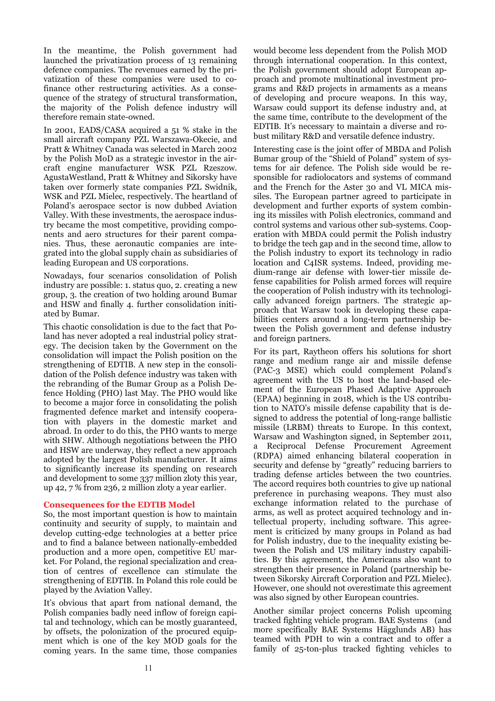In the meantime, the Polish government had launched the privatization process of 13 remaining defence companies. The revenues earned by the privatization of these companies were used to cofinance other restructuring activities. As a consequence of the strategy of structural transformation, the majority of the Polish defence industry will therefore remain state-owned.

In 2001, EADS/CASA acquired a 51 % stake in the small aircraft company PZL Warszawa-Okecie, and Pratt & Whitney Canada was selected in March 2002 by the Polish MoD as a strategic investor in the aircraft engine manufacturer WSK PZL Rzeszow. AgustaWestland, Pratt & Whitney and Sikorsky have taken over formerly state companies PZL Swidnik, WSK and PZL Mielec, respectively. The heartland of Poland's aerospace sector is now dubbed Aviation Valley. With these investments, the aerospace industry became the most competitive, providing components and aero structures for their parent companies. Thus, these aeronautic companies are integrated into the global supply chain as subsidiaries of leading European and US corporations.

Nowadays, four scenarios consolidation of Polish industry are possible: 1. status quo, 2. creating a new group, 3. the creation of two holding around Bumar and HSW and finally 4. further consolidation initiated by Bumar.

This chaotic consolidation is due to the fact that Poland has never adopted a real industrial policy strategy. The decision taken by the Government on the consolidation will impact the Polish position on the strengthening of EDTIB. A new step in the consolidation of the Polish defence industry was taken with the rebranding of the Bumar Group as a Polish Defence Holding (PHO) last May. The PHO would like to become a major force in consolidating the polish fragmented defence market and intensify cooperation with players in the domestic market and abroad. In order to do this, the PHO wants to merge with SHW. Although negotiations between the PHO and HSW are underway, they reflect a new approach adopted by the largest Polish manufacturer. It aims to significantly increase its spending on research and development to some 337 million zloty this year, up 42, 7 % from 236, 2 million zloty a year earlier.

#### **Consequences for the EDTIB Model**

So, the most important question is how to maintain continuity and security of supply, to maintain and develop cutting-edge technologies at a better price and to find a balance between nationally-embedded production and a more open, competitive EU market. For Poland, the regional specialization and creation of centres of excellence can stimulate the strengthening of EDTIB. In Poland this role could be played by the Aviation Valley.

It's obvious that apart from national demand, the Polish companies badly need inflow of foreign capital and technology, which can be mostly guaranteed, by offsets, the polonization of the procured equipment which is one of the key MOD goals for the coming years. In the same time, those companies would become less dependent from the Polish MOD through international cooperation. In this context, the Polish government should adopt European approach and promote multinational investment programs and R&D projects in armaments as a means of developing and procure weapons. In this way, Warsaw could support its defense industry and, at the same time, contribute to the development of the EDTIB. It's necessary to maintain a diverse and robust military R&D and versatile defence industry.

Interesting case is the joint offer of MBDA and Polish Bumar group of the "Shield of Poland" system of systems for air defence. The Polish side would be responsible for radiolocators and systems of command and the French for the Aster 30 and VL MICA missiles. The European partner agreed to participate in development and further exports of system combining its missiles with Polish electronics, command and control systems and various other sub-systems. Cooperation with MBDA could permit the Polish industry to bridge the tech gap and in the second time, allow to the Polish industry to export its technology in radio location and C4ISR systems. Indeed, providing medium-range air defense with lower-tier missile defense capabilities for Polish armed forces will require the cooperation of Polish industry with its technologically advanced foreign partners. The strategic approach that Warsaw took in developing these capabilities centers around a long-term partnership between the Polish government and defense industry and foreign partners.

For its part, Raytheon offers his solutions for short range and medium range air and missile defense (PAC-3 MSE) which could complement Poland's agreement with the US to host the land-based element of the European Phased Adaptive Approach (EPAA) beginning in 2018, which is the US contribution to NATO's missile defense capability that is designed to address the potential of long-range ballistic missile (LRBM) threats to Europe. In this context, Warsaw and Washington signed, in September 2011, a Reciprocal Defense Procurement Agreement (RDPA) aimed enhancing bilateral cooperation in security and defense by "greatly" reducing barriers to trading defense articles between the two countries. The accord requires both countries to give up national preference in purchasing weapons. They must also exchange information related to the purchase of arms, as well as protect acquired technology and intellectual property, including software. This agreement is criticized by many groups in Poland as bad for Polish industry, due to the inequality existing between the Polish and US military industry capabilities. By this agreement, the Americans also want to strengthen their presence in Poland (partnership between Sikorsky Aircraft Corporation and PZL Mielec). However, one should not overestimate this agreement was also signed by other European countries.

Another similar project concerns Polish upcoming tracked fighting vehicle program. BAE Systems (and more specifically BAE Systems Hägglunds AB) has teamed with PDH to win a contract and to offer a family of 25-ton-plus tracked fighting vehicles to